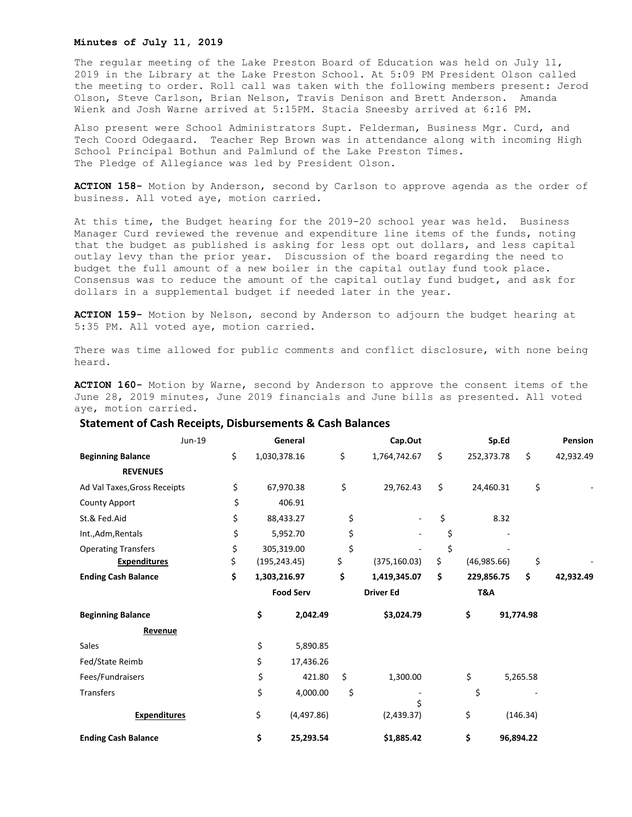## **Minutes of July 11, 2019**

The regular meeting of the Lake Preston Board of Education was held on July 11, 2019 in the Library at the Lake Preston School. At 5:09 PM President Olson called the meeting to order. Roll call was taken with the following members present: Jerod Olson, Steve Carlson, Brian Nelson, Travis Denison and Brett Anderson. Amanda Wienk and Josh Warne arrived at 5:15PM. Stacia Sneesby arrived at 6:16 PM.

Also present were School Administrators Supt. Felderman, Business Mgr. Curd, and Tech Coord Odegaard. Teacher Rep Brown was in attendance along with incoming High School Principal Bothun and Palmlund of the Lake Preston Times. The Pledge of Allegiance was led by President Olson.

**ACTION 158-** Motion by Anderson, second by Carlson to approve agenda as the order of business. All voted aye, motion carried.

At this time, the Budget hearing for the 2019-20 school year was held. Business Manager Curd reviewed the revenue and expenditure line items of the funds, noting that the budget as published is asking for less opt out dollars, and less capital outlay levy than the prior year. Discussion of the board regarding the need to budget the full amount of a new boiler in the capital outlay fund took place. Consensus was to reduce the amount of the capital outlay fund budget, and ask for dollars in a supplemental budget if needed later in the year.

**ACTION 159-** Motion by Nelson, second by Anderson to adjourn the budget hearing at 5:35 PM. All voted aye, motion carried.

There was time allowed for public comments and conflict disclosure, with none being heard.

**ACTION 160-** Motion by Warne, second by Anderson to approve the consent items of the June 28, 2019 minutes, June 2019 financials and June bills as presented. All voted aye, motion carried.

## **Statement of Cash Receipts, Disbursements & Cash Balances**

| Jun-19                       |    | General          |              | Cap.Out             |    | Sp.Ed             |            | Pension   |           |
|------------------------------|----|------------------|--------------|---------------------|----|-------------------|------------|-----------|-----------|
| <b>Beginning Balance</b>     | \$ | 1,030,378.16     |              | \$<br>1,764,742.67  | \$ |                   | 252,373.78 | \$        | 42,932.49 |
| <b>REVENUES</b>              |    |                  |              |                     |    |                   |            |           |           |
| Ad Val Taxes, Gross Receipts | \$ | 67,970.38        |              | \$<br>29,762.43     | \$ |                   | 24,460.31  | \$        |           |
| County Apport                | \$ | 406.91           |              |                     |    |                   |            |           |           |
| St.& Fed.Aid                 | \$ | 88,433.27        |              | \$<br>\$            |    | 8.32              |            |           |           |
| Int., Adm, Rentals           | \$ | 5,952.70         |              | \$                  | \$ |                   |            |           |           |
| <b>Operating Transfers</b>   | \$ | 305,319.00       |              | \$                  | \$ |                   |            |           |           |
| <b>Expenditures</b>          | \$ | (195, 243.45)    |              | \$<br>(375, 160.03) | \$ | \$<br>(46,985.66) |            |           |           |
| <b>Ending Cash Balance</b>   | \$ |                  | 1,303,216.97 | \$<br>1,419,345.07  | \$ |                   | 229,856.75 | \$        | 42,932.49 |
|                              |    | <b>Food Serv</b> |              | <b>Driver Ed</b>    |    |                   | T&A        |           |           |
| <b>Beginning Balance</b>     |    | \$               | 2,042.49     | \$3,024.79          |    | \$                |            | 91,774.98 |           |
| Revenue                      |    |                  |              |                     |    |                   |            |           |           |
| Sales                        |    | \$               | 5,890.85     |                     |    |                   |            |           |           |
| Fed/State Reimb              |    | \$               | 17,436.26    |                     |    |                   |            |           |           |
| Fees/Fundraisers             |    | \$               | 421.80       | \$<br>1,300.00      |    | \$                |            | 5,265.58  |           |
| <b>Transfers</b>             |    | \$               | 4,000.00     | \$                  |    | \$                |            |           |           |
| <b>Expenditures</b>          |    | \$               | (4,497.86)   | (2,439.37)          |    | \$                |            | (146.34)  |           |
| <b>Ending Cash Balance</b>   |    | \$               | 25,293.54    | \$1,885.42          |    | \$                |            | 96,894.22 |           |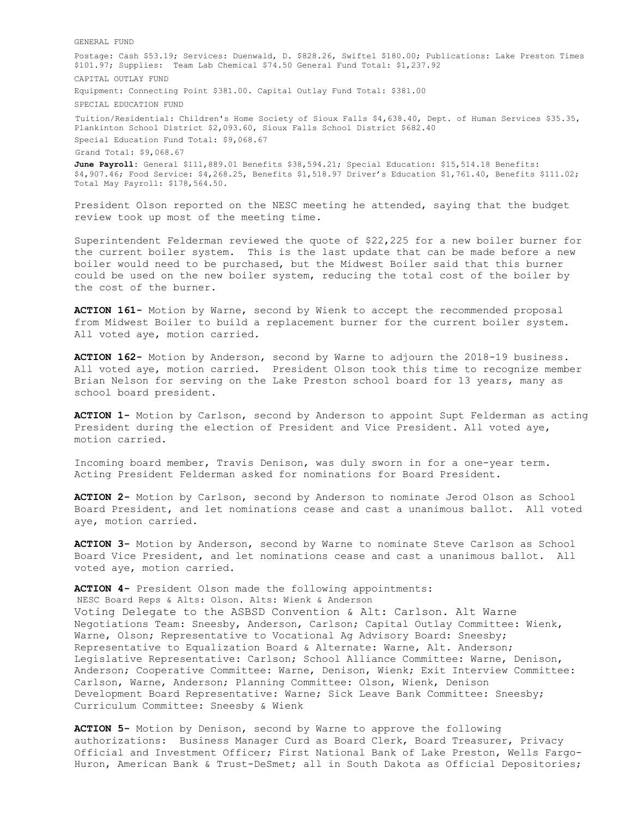GENERAL FUND

Postage: Cash \$53.19; Services: Duenwald, D. \$828.26, Swiftel \$180.00; Publications: Lake Preston Times \$101.97; Supplies: Team Lab Chemical \$74.50 General Fund Total: \$1,237.92 CAPITAL OUTLAY FUND Equipment: Connecting Point \$381.00. Capital Outlay Fund Total: \$381.00 SPECIAL EDUCATION FUND Tuition/Residential: Children's Home Society of Sioux Falls \$4,638.40, Dept. of Human Services \$35.35, Plankinton School District \$2,093.60, Sioux Falls School District \$682.40 Special Education Fund Total: \$9,068.67 Grand Total: \$9,068.67 **June Payroll:** General \$111,889.01 Benefits \$38,594.21; Special Education: \$15,514.18 Benefits: \$4,907.46; Food Service: \$4,268.25, Benefits \$1,518.97 Driver's Education \$1,761.40, Benefits \$111.02; Total May Payroll: \$178,564.50.

President Olson reported on the NESC meeting he attended, saying that the budget review took up most of the meeting time.

Superintendent Felderman reviewed the quote of \$22,225 for a new boiler burner for the current boiler system. This is the last update that can be made before a new boiler would need to be purchased, but the Midwest Boiler said that this burner could be used on the new boiler system, reducing the total cost of the boiler by the cost of the burner.

**ACTION 161-** Motion by Warne, second by Wienk to accept the recommended proposal from Midwest Boiler to build a replacement burner for the current boiler system. All voted aye, motion carried.

**ACTION 162-** Motion by Anderson, second by Warne to adjourn the 2018-19 business. All voted aye, motion carried. President Olson took this time to recognize member Brian Nelson for serving on the Lake Preston school board for 13 years, many as school board president.

**ACTION 1-** Motion by Carlson, second by Anderson to appoint Supt Felderman as acting President during the election of President and Vice President. All voted aye, motion carried.

Incoming board member, Travis Denison, was duly sworn in for a one-year term. Acting President Felderman asked for nominations for Board President.

**ACTION 2-** Motion by Carlson, second by Anderson to nominate Jerod Olson as School Board President, and let nominations cease and cast a unanimous ballot. All voted aye, motion carried.

**ACTION 3-** Motion by Anderson, second by Warne to nominate Steve Carlson as School Board Vice President, and let nominations cease and cast a unanimous ballot. All voted aye, motion carried.

**ACTION 4-** President Olson made the following appointments:

NESC Board Reps & Alts: Olson. Alts: Wienk & Anderson

Voting Delegate to the ASBSD Convention & Alt: Carlson. Alt Warne Negotiations Team: Sneesby, Anderson, Carlson; Capital Outlay Committee: Wienk, Warne, Olson; Representative to Vocational Ag Advisory Board: Sneesby; Representative to Equalization Board & Alternate: Warne, Alt. Anderson; Legislative Representative: Carlson; School Alliance Committee: Warne, Denison, Anderson; Cooperative Committee: Warne, Denison, Wienk; Exit Interview Committee: Carlson, Warne, Anderson; Planning Committee: Olson, Wienk, Denison Development Board Representative: Warne; Sick Leave Bank Committee: Sneesby; Curriculum Committee: Sneesby & Wienk

**ACTION 5-** Motion by Denison, second by Warne to approve the following authorizations: Business Manager Curd as Board Clerk, Board Treasurer, Privacy Official and Investment Officer; First National Bank of Lake Preston, Wells Fargo-Huron, American Bank & Trust-DeSmet; all in South Dakota as Official Depositories;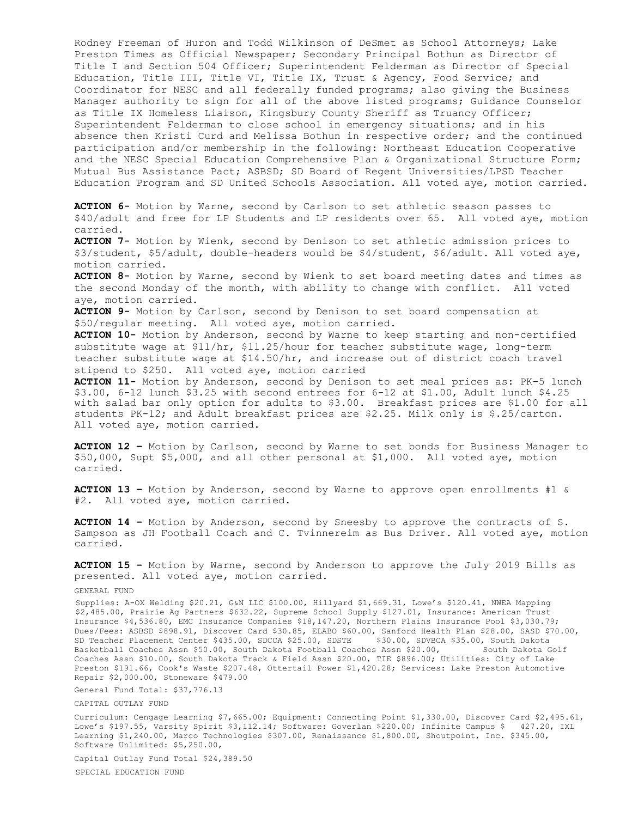Rodney Freeman of Huron and Todd Wilkinson of DeSmet as School Attorneys; Lake Preston Times as Official Newspaper; Secondary Principal Bothun as Director of Title I and Section 504 Officer; Superintendent Felderman as Director of Special Education, Title III, Title VI, Title IX, Trust & Agency, Food Service; and Coordinator for NESC and all federally funded programs; also giving the Business Manager authority to sign for all of the above listed programs; Guidance Counselor as Title IX Homeless Liaison, Kingsbury County Sheriff as Truancy Officer; Superintendent Felderman to close school in emergency situations; and in his absence then Kristi Curd and Melissa Bothun in respective order; and the continued participation and/or membership in the following: Northeast Education Cooperative and the NESC Special Education Comprehensive Plan & Organizational Structure Form; Mutual Bus Assistance Pact; ASBSD; SD Board of Regent Universities/LPSD Teacher Education Program and SD United Schools Association. All voted aye, motion carried.

**ACTION 6-** Motion by Warne, second by Carlson to set athletic season passes to \$40/adult and free for LP Students and LP residents over 65. All voted aye, motion carried.

**ACTION 7-** Motion by Wienk, second by Denison to set athletic admission prices to \$3/student, \$5/adult, double-headers would be \$4/student, \$6/adult. All voted aye, motion carried.

**ACTION 8-** Motion by Warne, second by Wienk to set board meeting dates and times as the second Monday of the month, with ability to change with conflict. All voted aye, motion carried.

**ACTION 9-** Motion by Carlson, second by Denison to set board compensation at \$50/regular meeting. All voted aye, motion carried.

**ACTION 10-** Motion by Anderson, second by Warne to keep starting and non-certified substitute wage at \$11/hr, \$11.25/hour for teacher substitute wage, long-term teacher substitute wage at \$14.50/hr, and increase out of district coach travel stipend to \$250. All voted aye, motion carried

**ACTION 11-** Motion by Anderson, second by Denison to set meal prices as: PK-5 lunch \$3.00, 6-12 lunch \$3.25 with second entrees for 6-12 at \$1.00, Adult lunch \$4.25 with salad bar only option for adults to \$3.00. Breakfast prices are \$1.00 for all students PK-12; and Adult breakfast prices are \$2.25. Milk only is \$.25/carton. All voted aye, motion carried.

**ACTION 12 –** Motion by Carlson, second by Warne to set bonds for Business Manager to \$50,000, Supt \$5,000, and all other personal at \$1,000. All voted aye, motion carried.

**ACTION 13 –** Motion by Anderson, second by Warne to approve open enrollments #1 & #2. All voted aye, motion carried.

**ACTION 14 –** Motion by Anderson, second by Sneesby to approve the contracts of S. Sampson as JH Football Coach and C. Tvinnereim as Bus Driver. All voted aye, motion carried.

**ACTION 15 –** Motion by Warne, second by Anderson to approve the July 2019 Bills as presented. All voted aye, motion carried.

## GENERAL FUND

Supplies: A-OX Welding \$20.21, G&N LLC \$100.00, Hillyard \$1,669.31, Lowe's \$120.41, NWEA Mapping \$2,485.00, Prairie Ag Partners \$632.22, Supreme School Supply \$127.01, Insurance: American Trust Insurance \$4,536.80, EMC Insurance Companies \$18,147.20, Northern Plains Insurance Pool \$3,030.79; Dues/Fees: ASBSD \$898.91, Discover Card \$30.85, ELABO \$60.00, Sanford Health Plan \$28.00, SASD \$70.00, SD Teacher Placement Center \$435.00, SDCCA \$25.00, SDSTE \$30.00, SDVBCA \$35.00, South Dakota Basketball Coaches Assn \$50.00, South Dakota Football Coaches Assn \$20.00, South Dakota Golf Coaches Assn \$10.00, South Dakota Track & Field Assn \$20.00, TIE \$896.00; Utilities: City of Lake Preston \$191.66, Cook's Waste \$207.48, Ottertail Power \$1,420.28; Services: Lake Preston Automotive Repair \$2,000.00, Stoneware \$479.00

General Fund Total: \$37,776.13

## CAPITAL OUTLAY FUND

Curriculum: Cengage Learning \$7,665.00; Equipment: Connecting Point \$1,330.00, Discover Card \$2,495.61, Lowe's \$197.55, Varsity Spirit \$3,112.14; Software: Goverlan \$220.00; Infinite Campus \$ 427.20, IXL Learning \$1,240.00, Marco Technologies \$307.00, Renaissance \$1,800.00, Shoutpoint, Inc. \$345.00, Software Unlimited: \$5,250.00,

Capital Outlay Fund Total \$24,389.50

SPECIAL EDUCATION FUND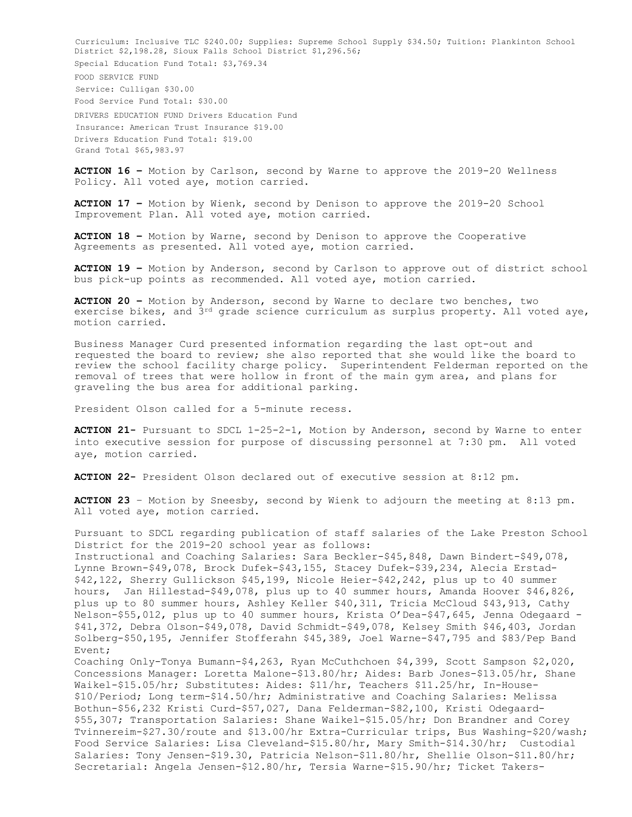Curriculum: Inclusive TLC \$240.00; Supplies: Supreme School Supply \$34.50; Tuition: Plankinton School District \$2,198.28, Sioux Falls School District \$1,296.56; Special Education Fund Total: \$3,769.34 FOOD SERVICE FUND Service: Culligan \$30.00 Food Service Fund Total: \$30.00 DRIVERS EDUCATION FUND Drivers Education Fund Insurance: American Trust Insurance \$19.00 Drivers Education Fund Total: \$19.00 Grand Total \$65,983.97

**ACTION 16 –** Motion by Carlson, second by Warne to approve the 2019-20 Wellness Policy. All voted aye, motion carried.

**ACTION 17 –** Motion by Wienk, second by Denison to approve the 2019-20 School Improvement Plan. All voted aye, motion carried.

**ACTION 18 –** Motion by Warne, second by Denison to approve the Cooperative Agreements as presented. All voted aye, motion carried.

**ACTION 19 –** Motion by Anderson, second by Carlson to approve out of district school bus pick-up points as recommended. All voted aye, motion carried.

**ACTION 20 –** Motion by Anderson, second by Warne to declare two benches, two exercise bikes, and  $3^{rd}$  grade science curriculum as surplus property. All voted aye, motion carried.

Business Manager Curd presented information regarding the last opt-out and requested the board to review; she also reported that she would like the board to review the school facility charge policy. Superintendent Felderman reported on the removal of trees that were hollow in front of the main gym area, and plans for graveling the bus area for additional parking.

President Olson called for a 5-minute recess.

**ACTION 21-** Pursuant to SDCL 1-25-2-1, Motion by Anderson, second by Warne to enter into executive session for purpose of discussing personnel at 7:30 pm. All voted aye, motion carried.

**ACTION 22-** President Olson declared out of executive session at 8:12 pm.

**ACTION 23** – Motion by Sneesby, second by Wienk to adjourn the meeting at 8:13 pm. All voted aye, motion carried.

Pursuant to SDCL regarding publication of staff salaries of the Lake Preston School District for the 2019-20 school year as follows: Instructional and Coaching Salaries: Sara Beckler-\$45,848, Dawn Bindert-\$49,078, Lynne Brown-\$49,078, Brock Dufek-\$43,155, Stacey Dufek-\$39,234, Alecia Erstad- \$42,122, Sherry Gullickson \$45,199, Nicole Heier-\$42,242, plus up to 40 summer hours, Jan Hillestad-\$49,078, plus up to 40 summer hours, Amanda Hoover \$46,826, plus up to 80 summer hours, Ashley Keller \$40,311, Tricia McCloud \$43,913, Cathy Nelson-\$55,012, plus up to 40 summer hours, Krista O'Dea-\$47,645, Jenna Odegaard - \$41,372, Debra Olson-\$49,078, David Schmidt-\$49,078, Kelsey Smith \$46,403, Jordan Solberg-\$50,195, Jennifer Stofferahn \$45,389, Joel Warne-\$47,795 and \$83/Pep Band Event; Coaching Only-Tonya Bumann-\$4,263, Ryan McCuthchoen \$4,399, Scott Sampson \$2,020, Concessions Manager: Loretta Malone-\$13.80/hr; Aides: Barb Jones-\$13.05/hr, Shane Waikel-\$15.05/hr; Substitutes: Aides: \$11/hr, Teachers \$11.25/hr, In-House- \$10/Period; Long term-\$14.50/hr; Administrative and Coaching Salaries: Melissa

Bothun-\$56,232 Kristi Curd-\$57,027, Dana Felderman-\$82,100, Kristi Odegaard- \$55,307; Transportation Salaries: Shane Waikel-\$15.05/hr; Don Brandner and Corey Tvinnereim-\$27.30/route and \$13.00/hr Extra-Curricular trips, Bus Washing-\$20/wash; Food Service Salaries: Lisa Cleveland-\$15.80/hr, Mary Smith-\$14.30/hr; Custodial Salaries: Tony Jensen-\$19.30, Patricia Nelson-\$11.80/hr, Shellie Olson-\$11.80/hr; Secretarial: Angela Jensen-\$12.80/hr, Tersia Warne-\$15.90/hr; Ticket Takers